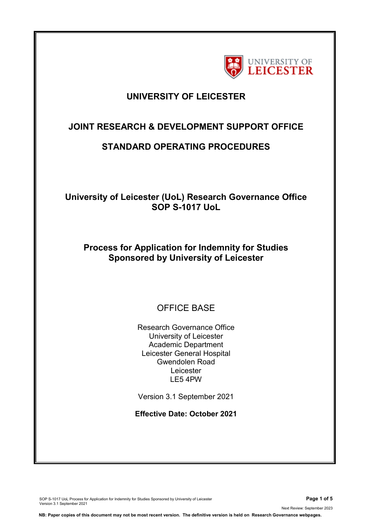

## **UNIVERSITY OF LEICESTER**

## **JOINT RESEARCH & DEVELOPMENT SUPPORT OFFICE**

## **STANDARD OPERATING PROCEDURES**

**University of Leicester (UoL) Research Governance Office SOP S-1017 UoL**

## **Process for Application for Indemnity for Studies Sponsored by University of Leicester**

# OFFICE BASE

Research Governance Office University of Leicester Academic Department Leicester General Hospital Gwendolen Road Leicester LE5 4PW

Version 3.1 September 2021

**Effective Date: October 2021**

SOP S-1017 UoL Process for Application for Indemnity for Studies Sponsored by University of Leicester **Page 1 of 5** Version 3.1 September 2021

Next Review: September 2023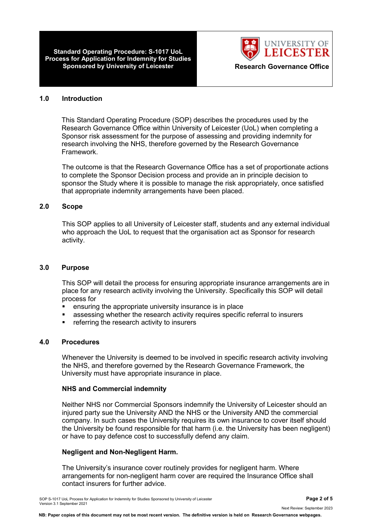**Standard Operating Procedure: S-1017 UoL Process for Application for Indemnity for Studies Sponsored by University of Leicester Manual Excession Research Governance Office** 



#### **1.0 Introduction**

This Standard Operating Procedure (SOP) describes the procedures used by the Research Governance Office within University of Leicester (UoL) when completing a Sponsor risk assessment for the purpose of assessing and providing indemnity for research involving the NHS, therefore governed by the Research Governance Framework.

The outcome is that the Research Governance Office has a set of proportionate actions to complete the Sponsor Decision process and provide an in principle decision to sponsor the Study where it is possible to manage the risk appropriately, once satisfied that appropriate indemnity arrangements have been placed.

#### **2.0 Scope**

This SOP applies to all University of Leicester staff, students and any external individual who approach the UoL to request that the organisation act as Sponsor for research activity.

#### **3.0 Purpose**

This SOP will detail the process for ensuring appropriate insurance arrangements are in place for any research activity involving the University. Specifically this SOP will detail process for

- ensuring the appropriate university insurance is in place
- assessing whether the research activity requires specific referral to insurers
- referring the research activity to insurers

### **4.0 Procedures**

Whenever the University is deemed to be involved in specific research activity involving the NHS, and therefore governed by the Research Governance Framework, the University must have appropriate insurance in place.

#### **NHS and Commercial indemnity**

Neither NHS nor Commercial Sponsors indemnify the University of Leicester should an injured party sue the University AND the NHS or the University AND the commercial company. In such cases the University requires its own insurance to cover itself should the University be found responsible for that harm (i.e. the University has been negligent) or have to pay defence cost to successfully defend any claim.

#### **Negligent and Non-Negligent Harm.**

The University's insurance cover routinely provides for negligent harm. Where arrangements for non-negligent harm cover are required the Insurance Office shall contact insurers for further advice.

SOP S-1017 UoL Process for Application for Indemnity for Studies Sponsored by University of Leicester **Page 2 of 5** Version 3.1 September 2021

Next Review: September 2023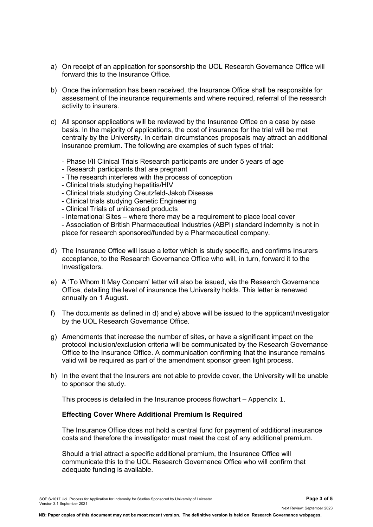- a) On receipt of an application for sponsorship the UOL Research Governance Office will forward this to the Insurance Office.
- b) Once the information has been received, the Insurance Office shall be responsible for assessment of the insurance requirements and where required, referral of the research activity to insurers.
- c) All sponsor applications will be reviewed by the Insurance Office on a case by case basis. In the majority of applications, the cost of insurance for the trial will be met centrally by the University. In certain circumstances proposals may attract an additional insurance premium. The following are examples of such types of trial:
	- Phase I/II Clinical Trials Research participants are under 5 years of age
	- Research participants that are pregnant
	- The research interferes with the process of conception
	- Clinical trials studying hepatitis/HIV
	- Clinical trials studying Creutzfeld-Jakob Disease
	- Clinical trials studying Genetic Engineering
	- Clinical Trials of unlicensed products
	- International Sites where there may be a requirement to place local cover

- Association of British Pharmaceutical Industries (ABPI) standard indemnity is not in place for research sponsored/funded by a Pharmaceutical company.

- d) The Insurance Office will issue a letter which is study specific, and confirms Insurers acceptance, to the Research Governance Office who will, in turn, forward it to the Investigators.
- e) A 'To Whom It May Concern' letter will also be issued, via the Research Governance Office, detailing the level of insurance the University holds. This letter is renewed annually on 1 August.
- f) The documents as defined in d) and e) above will be issued to the applicant/investigator by the UOL Research Governance Office.
- g) Amendments that increase the number of sites, or have a significant impact on the protocol inclusion/exclusion criteria will be communicated by the Research Governance Office to the Insurance Office. A communication confirming that the insurance remains valid will be required as part of the amendment sponsor green light process.
- h) In the event that the Insurers are not able to provide cover, the University will be unable to sponsor the study.

This process is detailed in the Insurance process flowchart – Appendix 1.

#### **Effecting Cover Where Additional Premium Is Required**

The Insurance Office does not hold a central fund for payment of additional insurance costs and therefore the investigator must meet the cost of any additional premium.

Should a trial attract a specific additional premium, the Insurance Office will communicate this to the UOL Research Governance Office who will confirm that adequate funding is available.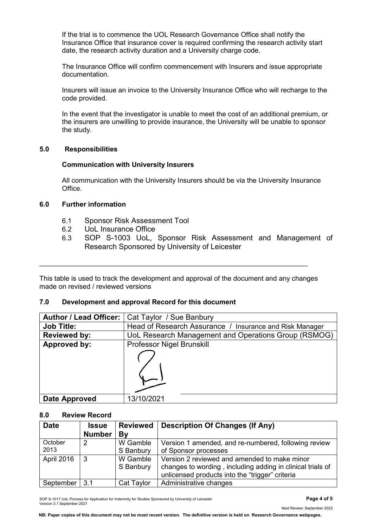If the trial is to commence the UOL Research Governance Office shall notify the Insurance Office that insurance cover is required confirming the research activity start date, the research activity duration and a University charge code.

The Insurance Office will confirm commencement with Insurers and issue appropriate documentation.

Insurers will issue an invoice to the University Insurance Office who will recharge to the code provided.

In the event that the investigator is unable to meet the cost of an additional premium, or the insurers are unwilling to provide insurance, the University will be unable to sponsor the study.

### **5.0 Responsibilities**

### **Communication with University Insurers**

All communication with the University Insurers should be via the University Insurance **Office** 

## **6.0 Further information**

- 6.1 Sponsor Risk Assessment Tool
- 6.2 UoL Insurance Office
- 6.3 SOP S-1003 UoL, Sponsor Risk Assessment and Management of Research Sponsored by University of Leicester

This table is used to track the development and approval of the document and any changes made on revised / reviewed versions

 $\_$  , and the set of the set of the set of the set of the set of the set of the set of the set of the set of the set of the set of the set of the set of the set of the set of the set of the set of the set of the set of th

## **7.0 Development and approval Record for this document**

| Author / Lead Officer: | Cat Taylor / Sue Banbury                                |  |  |
|------------------------|---------------------------------------------------------|--|--|
| <b>Job Title:</b>      | Head of Research Assurance / Insurance and Risk Manager |  |  |
| <b>Reviewed by:</b>    | UoL Research Management and Operations Group (RSMOG)    |  |  |
| Approved by:           | Professor Nigel Brunskill                               |  |  |
|                        |                                                         |  |  |
| Date Approved          | 13/10/2021                                              |  |  |

#### **8.0 Review Record**

| <b>Date</b>     | <b>Issue</b><br><b>Number</b> | <b>Reviewed</b><br>Bv | <b>Description Of Changes (If Any)</b>                                                                                                                        |
|-----------------|-------------------------------|-----------------------|---------------------------------------------------------------------------------------------------------------------------------------------------------------|
| October<br>2013 | 2                             | W Gamble<br>S Banbury | Version 1 amended, and re-numbered, following review<br>of Sponsor processes                                                                                  |
| April 2016      | -3                            | W Gamble<br>S Banbury | Version 2 reviewed and amended to make minor<br>changes to wording, including adding in clinical trials of<br>unlicensed products into the "trigger" criteria |
| September       | 3.1                           | Cat Taylor            | Administrative changes                                                                                                                                        |

SOP S-1017 UoL Process for Application for Indemnity for Studies Sponsored by University of Leicester **Page 4 of 5** Version 3.1 September 2021

**NB: Paper copies of this document may not be most recent version. The definitive version is held on Research Governance webpages.**